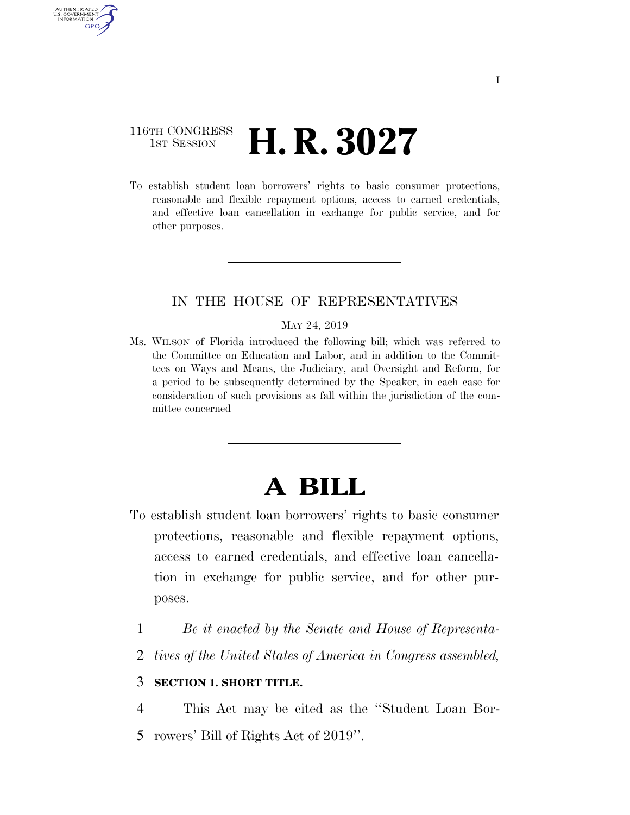### 116TH CONGRESS **1st Session H. R. 3027**

AUTHENTICATED U.S. GOVERNMENT GPO

> To establish student loan borrowers' rights to basic consumer protections, reasonable and flexible repayment options, access to earned credentials, and effective loan cancellation in exchange for public service, and for other purposes.

### IN THE HOUSE OF REPRESENTATIVES

#### MAY 24, 2019

Ms. WILSON of Florida introduced the following bill; which was referred to the Committee on Education and Labor, and in addition to the Committees on Ways and Means, the Judiciary, and Oversight and Reform, for a period to be subsequently determined by the Speaker, in each case for consideration of such provisions as fall within the jurisdiction of the committee concerned

# **A BILL**

- To establish student loan borrowers' rights to basic consumer protections, reasonable and flexible repayment options, access to earned credentials, and effective loan cancellation in exchange for public service, and for other purposes.
	- 1 *Be it enacted by the Senate and House of Representa-*
	- 2 *tives of the United States of America in Congress assembled,*

#### 3 **SECTION 1. SHORT TITLE.**

4 This Act may be cited as the ''Student Loan Bor-5 rowers' Bill of Rights Act of 2019''.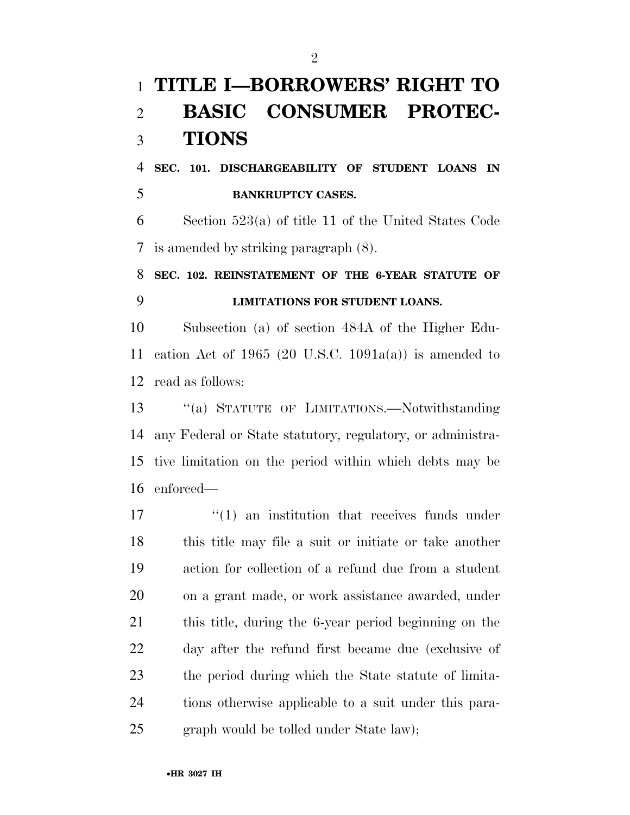# **TITLE I—BORROWERS' RIGHT TO BASIC CONSUMER PROTEC-TIONS**

 **SEC. 101. DISCHARGEABILITY OF STUDENT LOANS IN BANKRUPTCY CASES.** 

 Section 523(a) of title 11 of the United States Code is amended by striking paragraph (8).

## **SEC. 102. REINSTATEMENT OF THE 6-YEAR STATUTE OF LIMITATIONS FOR STUDENT LOANS.**

 Subsection (a) of section 484A of the Higher Edu-11 cation Act of 1965 (20 U.S.C. 1091 $a(a)$ ) is amended to read as follows:

 ''(a) STATUTE OF LIMITATIONS.—Notwithstanding any Federal or State statutory, regulatory, or administra- tive limitation on the period within which debts may be enforced—

 $\frac{1}{2}$  (1) an institution that receives funds under this title may file a suit or initiate or take another action for collection of a refund due from a student on a grant made, or work assistance awarded, under this title, during the 6-year period beginning on the day after the refund first became due (exclusive of the period during which the State statute of limita- tions otherwise applicable to a suit under this para-graph would be tolled under State law);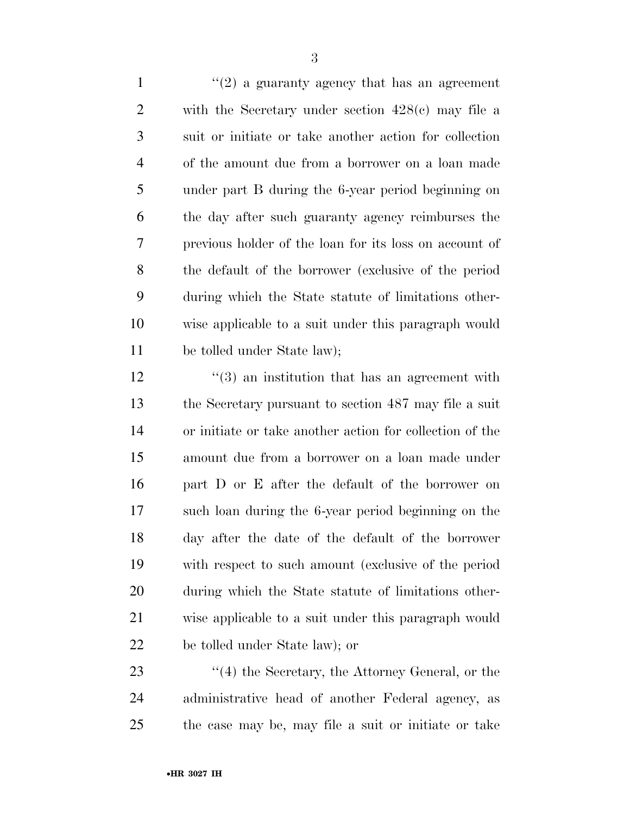$\frac{1}{2}$  a guaranty agency that has an agreement with the Secretary under section 428(c) may file a suit or initiate or take another action for collection of the amount due from a borrower on a loan made under part B during the 6-year period beginning on the day after such guaranty agency reimburses the previous holder of the loan for its loss on account of the default of the borrower (exclusive of the period during which the State statute of limitations other- wise applicable to a suit under this paragraph would be tolled under State law);

12 ''(3) an institution that has an agreement with the Secretary pursuant to section 487 may file a suit or initiate or take another action for collection of the amount due from a borrower on a loan made under part D or E after the default of the borrower on such loan during the 6-year period beginning on the day after the date of the default of the borrower with respect to such amount (exclusive of the period during which the State statute of limitations other- wise applicable to a suit under this paragraph would be tolled under State law); or

23 ''(4) the Secretary, the Attorney General, or the administrative head of another Federal agency, as the case may be, may file a suit or initiate or take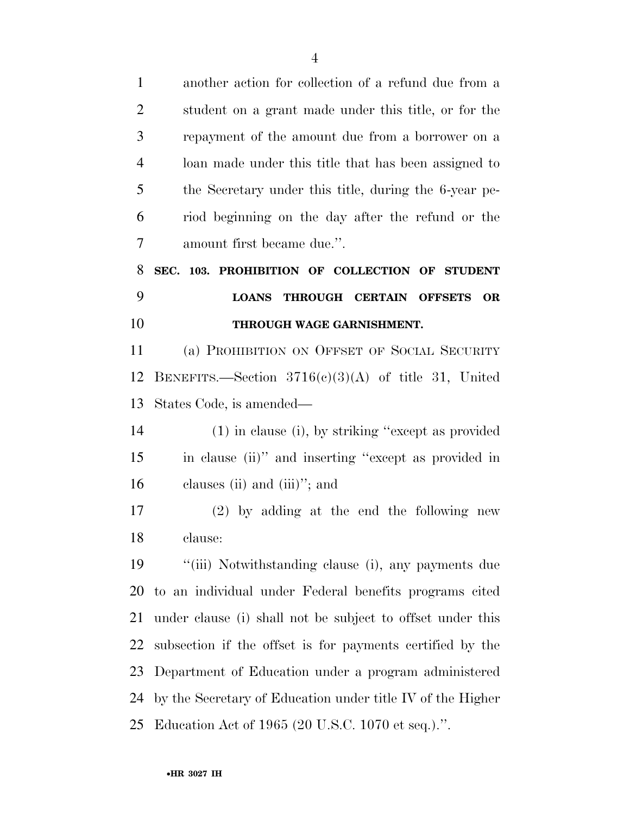another action for collection of a refund due from a student on a grant made under this title, or for the repayment of the amount due from a borrower on a loan made under this title that has been assigned to the Secretary under this title, during the 6-year pe- riod beginning on the day after the refund or the amount first became due.''. **SEC. 103. PROHIBITION OF COLLECTION OF STUDENT LOANS THROUGH CERTAIN OFFSETS OR THROUGH WAGE GARNISHMENT.**  (a) PROHIBITION ON OFFSET OF SOCIAL SECURITY BENEFITS.—Section 3716(c)(3)(A) of title 31, United States Code, is amended— (1) in clause (i), by striking ''except as provided in clause (ii)'' and inserting ''except as provided in clauses (ii) and (iii)''; and (2) by adding at the end the following new clause: ''(iii) Notwithstanding clause (i), any payments due to an individual under Federal benefits programs cited under clause (i) shall not be subject to offset under this subsection if the offset is for payments certified by the Department of Education under a program administered by the Secretary of Education under title IV of the Higher

Education Act of 1965 (20 U.S.C. 1070 et seq.).''.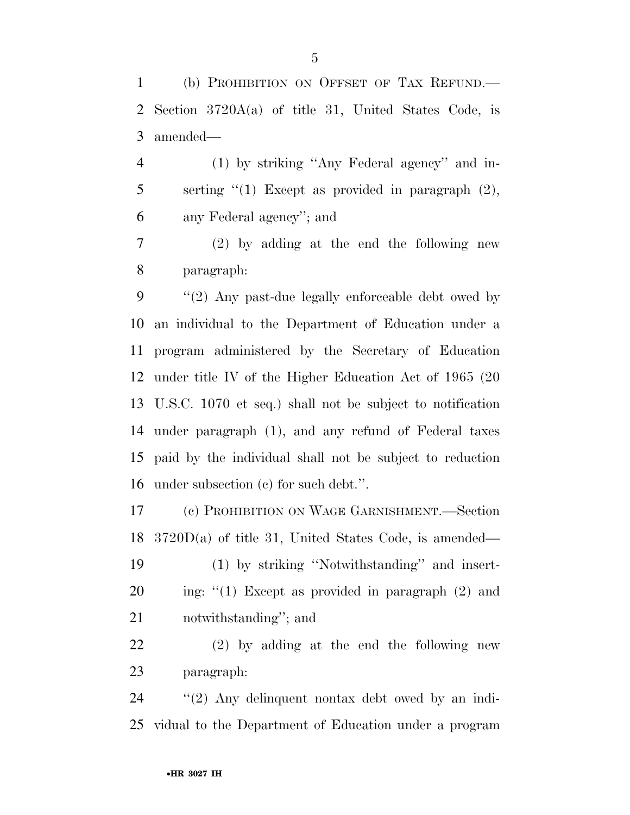(b) PROHIBITION ON OFFSET OF TAX REFUND.— Section 3720A(a) of title 31, United States Code, is amended—

 (1) by striking ''Any Federal agency'' and in-5 serting "(1) Except as provided in paragraph (2), any Federal agency''; and

 (2) by adding at the end the following new paragraph:

 ''(2) Any past-due legally enforceable debt owed by an individual to the Department of Education under a program administered by the Secretary of Education under title IV of the Higher Education Act of 1965 (20 U.S.C. 1070 et seq.) shall not be subject to notification under paragraph (1), and any refund of Federal taxes paid by the individual shall not be subject to reduction under subsection (c) for such debt.''.

 (c) PROHIBITION ON WAGE GARNISHMENT.—Section 3720D(a) of title 31, United States Code, is amended—

 (1) by striking ''Notwithstanding'' and insert-20 ing: "(1) Except as provided in paragraph (2) and notwithstanding''; and

 (2) by adding at the end the following new paragraph:

 ''(2) Any delinquent nontax debt owed by an indi-vidual to the Department of Education under a program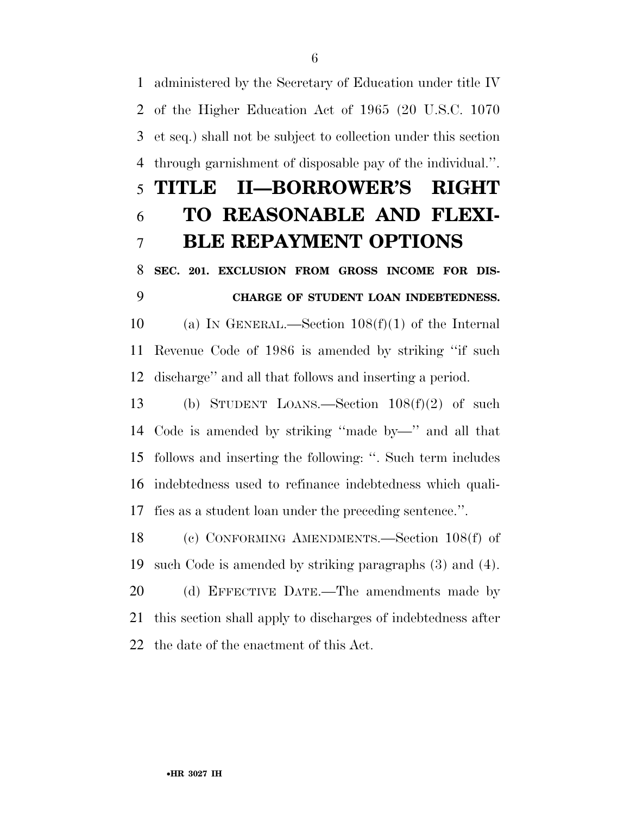administered by the Secretary of Education under title IV of the Higher Education Act of 1965 (20 U.S.C. 1070 et seq.) shall not be subject to collection under this section through garnishment of disposable pay of the individual.''. **TITLE II—BORROWER'S RIGHT TO REASONABLE AND FLEXI- BLE REPAYMENT OPTIONS SEC. 201. EXCLUSION FROM GROSS INCOME FOR DIS- CHARGE OF STUDENT LOAN INDEBTEDNESS.**  (a) IN GENERAL.—Section 108(f)(1) of the Internal

 Revenue Code of 1986 is amended by striking ''if such discharge'' and all that follows and inserting a period.

 (b) STUDENT LOANS.—Section 108(f)(2) of such Code is amended by striking ''made by—'' and all that follows and inserting the following: ''. Such term includes indebtedness used to refinance indebtedness which quali-fies as a student loan under the preceding sentence.''.

 (c) CONFORMING AMENDMENTS.—Section 108(f) of such Code is amended by striking paragraphs (3) and (4).

 (d) EFFECTIVE DATE.—The amendments made by this section shall apply to discharges of indebtedness after the date of the enactment of this Act.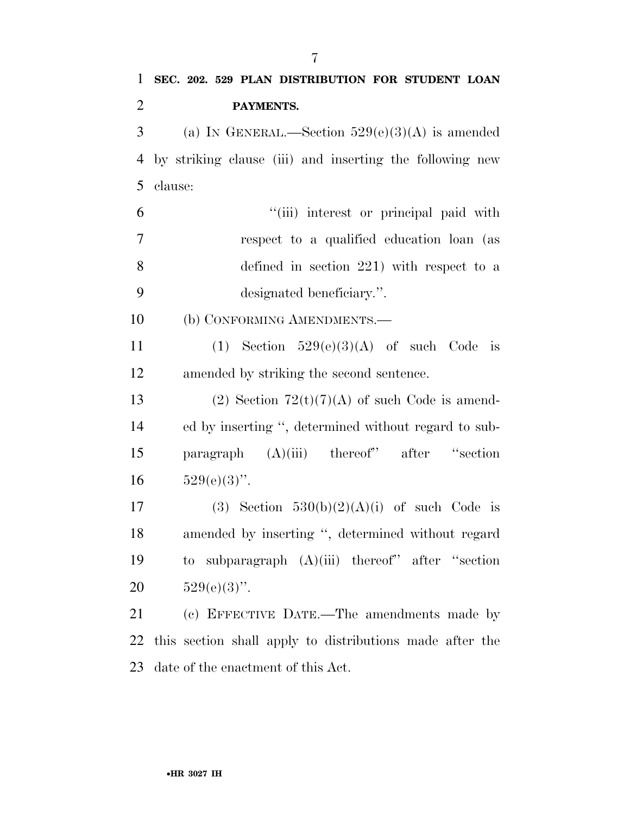| $\mathbf{1}$   | SEC. 202. 529 PLAN DISTRIBUTION FOR STUDENT LOAN         |
|----------------|----------------------------------------------------------|
| $\overline{2}$ | PAYMENTS.                                                |
| 3              | (a) IN GENERAL.—Section $529(e)(3)(A)$ is amended        |
| 4              | by striking clause (iii) and inserting the following new |
| 5              | clause:                                                  |
| 6              | "(iii) interest or principal paid with                   |
| 7              | respect to a qualified education loan (as                |
| 8              | defined in section $221$ ) with respect to a             |
| 9              | designated beneficiary.".                                |
| 10             | (b) CONFORMING AMENDMENTS.-                              |
| 11             | (1) Section $529(e)(3)(A)$ of such Code is               |
| 12             | amended by striking the second sentence.                 |
| 13             | (2) Section $72(t)(7)(A)$ of such Code is amend-         |
| 14             | ed by inserting ", determined without regard to sub-     |
| 15             | paragraph $(A)(iii)$ thereof" after "section             |
| 16             | $529(e)(3)$ ".                                           |
| 17             | (3) Section $530(b)(2)(A)(i)$ of such Code is            |
| 18             | amended by inserting ", determined without regard        |
| 19             | to subparagraph $(A)(iii)$ thereof" after "section       |
| 20             | $529(e)(3)$ ".                                           |
| 21             | (c) EFFECTIVE DATE.—The amendments made by               |
| 22             | this section shall apply to distributions made after the |
| 23             | date of the enactment of this Act.                       |
|                |                                                          |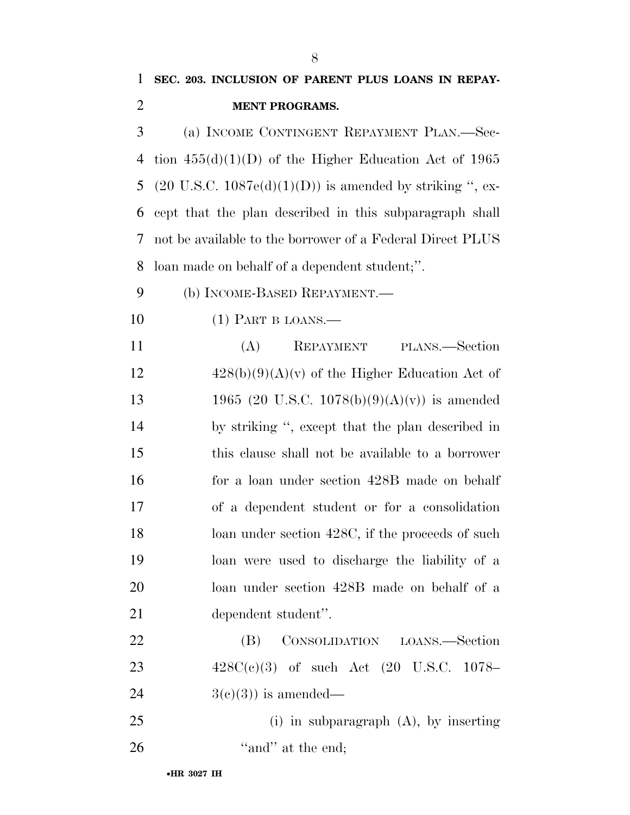| $\mathbf{1}$   | SEC. 203. INCLUSION OF PARENT PLUS LOANS IN REPAY-                  |
|----------------|---------------------------------------------------------------------|
| $\overline{2}$ | <b>MENT PROGRAMS.</b>                                               |
| 3              | (a) INCOME CONTINGENT REPAYMENT PLAN.—Sec-                          |
| 4              | tion $455(d)(1)(D)$ of the Higher Education Act of 1965             |
| 5              | $(20 \text{ U.S.C. } 1087e(d)(1)(D))$ is amended by striking ", ex- |
| 6              | cept that the plan described in this subparagraph shall             |
| 7              | not be available to the borrower of a Federal Direct PLUS           |
| 8              | loan made on behalf of a dependent student;".                       |
| 9              | (b) INCOME-BASED REPAYMENT.—                                        |
| 10             | $(1)$ PART B LOANS.—                                                |
| 11             | PLANS.—Section<br>(A)<br>REPAYMENT                                  |
| 12             | $428(b)(9)(A)(v)$ of the Higher Education Act of                    |
| 13             | 1965 (20 U.S.C. 1078(b)(9)(A)(v)) is amended                        |
| 14             | by striking ", except that the plan described in                    |
| 15             | this clause shall not be available to a borrower                    |
| 16             | for a loan under section 428B made on behalf                        |
| 17             | of a dependent student or for a consolidation                       |
| 18             | loan under section 428C, if the proceeds of such                    |
| 19             | loan were used to discharge the liability of a                      |
| 20             | loan under section 428B made on behalf of a                         |
| 21             | dependent student".                                                 |
| 22             | CONSOLIDATION LOANS.—Section<br>(B)                                 |
| 23             | $428C(c)(3)$ of such Act $(20 \text{ U.S.C. } 1078-$                |
| 24             | $3(e)(3)$ is amended—                                               |
| 25             | $(i)$ in subparagraph $(A)$ , by inserting                          |
| 26             | "and" at the end;                                                   |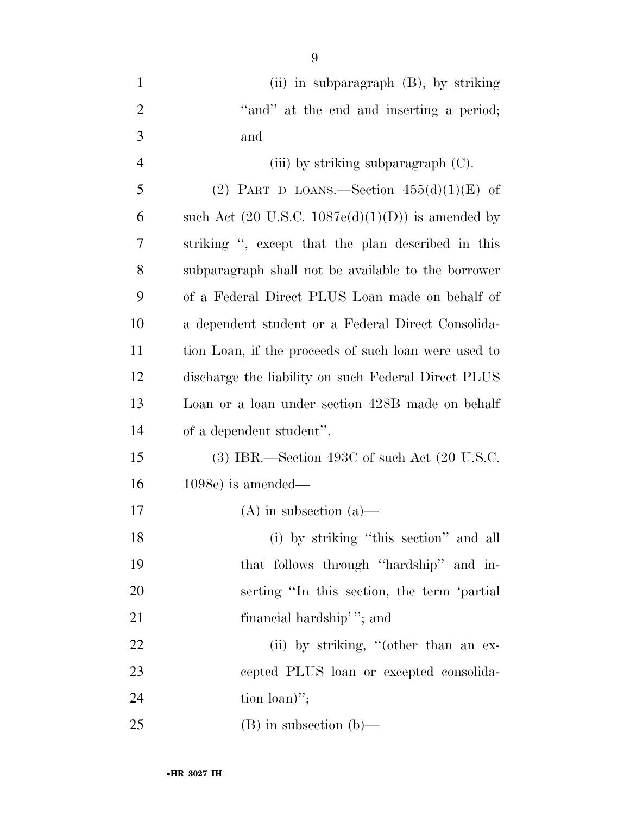| $\mathbf{1}$   | (ii) in subparagraph (B), by striking                        |
|----------------|--------------------------------------------------------------|
| $\overline{2}$ | "and" at the end and inserting a period;                     |
| 3              | and                                                          |
| $\overline{4}$ | (iii) by striking subparagraph $(C)$ .                       |
| 5              | (2) PART D LOANS.—Section $455(d)(1)(E)$ of                  |
| 6              | such Act $(20 \text{ U.S.C. } 1087e(d)(1)(D))$ is amended by |
| 7              | striking ", except that the plan described in this           |
| 8              | subparagraph shall not be available to the borrower          |
| 9              | of a Federal Direct PLUS Loan made on behalf of              |
| 10             | a dependent student or a Federal Direct Consolida-           |
| 11             | tion Loan, if the proceeds of such loan were used to         |
| 12             | discharge the liability on such Federal Direct PLUS          |
| 13             | Loan or a loan under section 428B made on behalf             |
| 14             | of a dependent student".                                     |
| 15             | $(3)$ IBR.—Section 493C of such Act $(20 \text{ U.S.C.})$    |
| 16             | $1098e$ ) is amended—                                        |
| 17             | $(A)$ in subsection $(a)$ —                                  |
| 18             | (i) by striking "this section" and all                       |
| 19             | that follows through "hardship" and in-                      |
| 20             | serting "In this section, the term 'partial                  |
| 21             | financial hardship'"; and                                    |
| 22             | (ii) by striking, "(other than an ex-                        |
| 23             | cepted PLUS loan or excepted consolida-                      |
| 24             | tion $\lceil \frac{\text{to}}{\text{to}} \rceil$             |
| 25             | $(B)$ in subsection $(b)$ —                                  |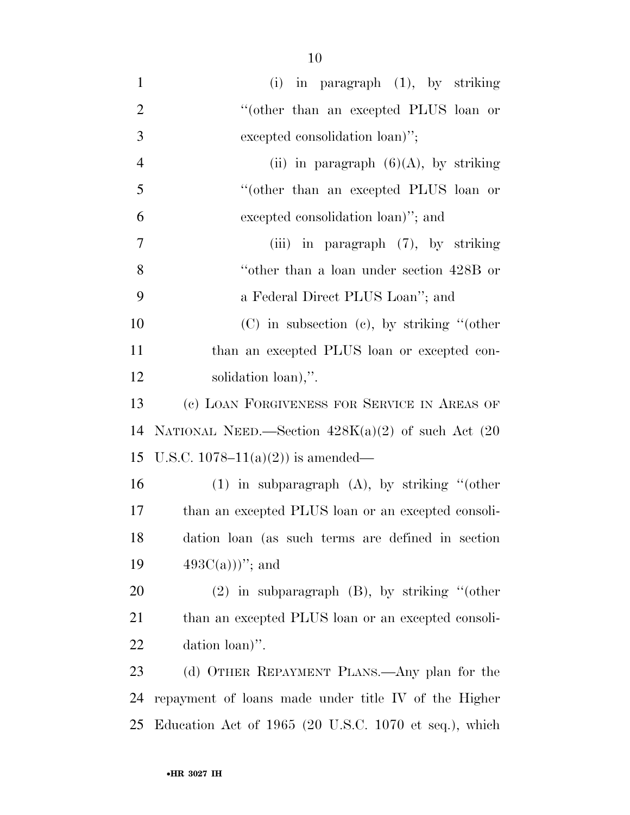(i) in paragraph (1), by striking 2 "(other than an excepted PLUS loan or excepted consolidation loan)''; 4 (ii) in paragraph  $(6)(A)$ , by striking ''(other than an excepted PLUS loan or excepted consolidation loan)''; and (iii) in paragraph (7), by striking ''other than a loan under section 428B or a Federal Direct PLUS Loan''; and (C) in subsection (c), by striking ''(other than an excepted PLUS loan or excepted con- solidation loan),''. (c) LOAN FORGIVENESS FOR SERVICE IN AREAS OF 14 NATIONAL NEED.—Section  $428K(a)(2)$  of such Act  $(20)$ 15 U.S.C. 1078–11(a)(2)) is amended— (1) in subparagraph (A), by striking ''(other than an excepted PLUS loan or an excepted consoli- dation loan (as such terms are defined in section  $493C(a))$ "; and (2) in subparagraph (B), by striking ''(other 21 than an excepted PLUS loan or an excepted consoli- dation loan)''. (d) OTHER REPAYMENT PLANS.—Any plan for the repayment of loans made under title IV of the Higher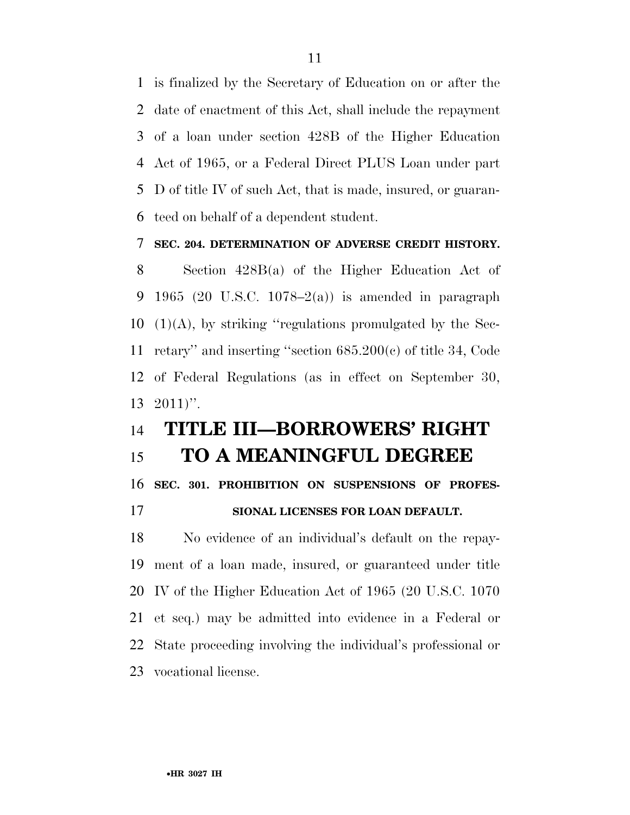is finalized by the Secretary of Education on or after the date of enactment of this Act, shall include the repayment of a loan under section 428B of the Higher Education Act of 1965, or a Federal Direct PLUS Loan under part D of title IV of such Act, that is made, insured, or guaran-teed on behalf of a dependent student.

#### **SEC. 204. DETERMINATION OF ADVERSE CREDIT HISTORY.**

 Section 428B(a) of the Higher Education Act of 9 1965 (20 U.S.C. 1078–2(a)) is amended in paragraph  $(1)(A)$ , by striking "regulations promulgated by the Sec- retary'' and inserting ''section 685.200(c) of title 34, Code of Federal Regulations (as in effect on September 30, 2011)''.

### **TITLE III—BORROWERS' RIGHT**

### **TO A MEANINGFUL DEGREE**

**SEC. 301. PROHIBITION ON SUSPENSIONS OF PROFES-**

### **SIONAL LICENSES FOR LOAN DEFAULT.**

 No evidence of an individual's default on the repay- ment of a loan made, insured, or guaranteed under title IV of the Higher Education Act of 1965 (20 U.S.C. 1070 et seq.) may be admitted into evidence in a Federal or State proceeding involving the individual's professional or vocational license.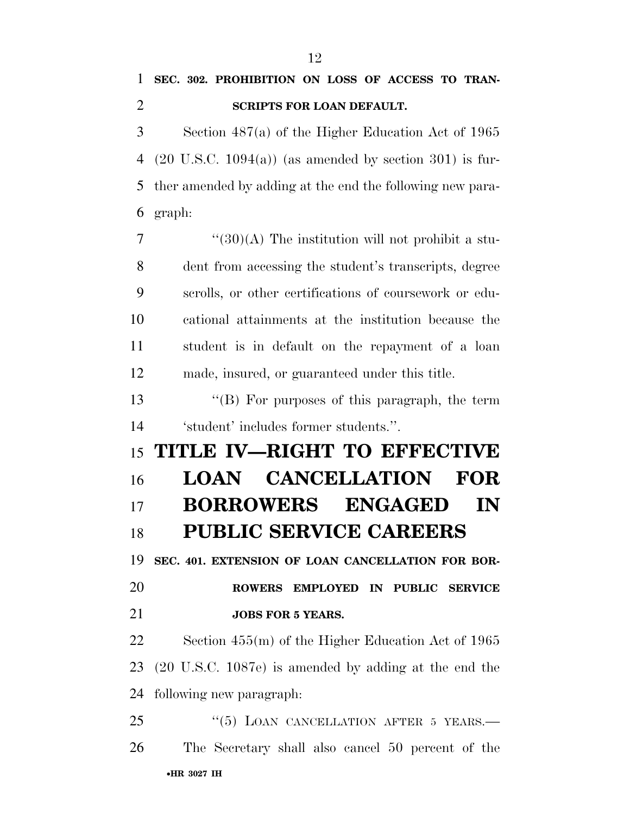## **SEC. 302. PROHIBITION ON LOSS OF ACCESS TO TRAN-SCRIPTS FOR LOAN DEFAULT.**

 Section 487(a) of the Higher Education Act of 1965 (20 U.S.C. 1094(a)) (as amended by section 301) is fur- ther amended by adding at the end the following new para-graph:

 "(30)(A) The institution will not prohibit a stu- dent from accessing the student's transcripts, degree scrolls, or other certifications of coursework or edu- cational attainments at the institution because the student is in default on the repayment of a loan made, insured, or guaranteed under this title.

 ''(B) For purposes of this paragraph, the term 'student' includes former students.''.

 **TITLE IV—RIGHT TO EFFECTIVE LOAN CANCELLATION FOR BORROWERS ENGAGED IN PUBLIC SERVICE CAREERS** 

 **SEC. 401. EXTENSION OF LOAN CANCELLATION FOR BOR- ROWERS EMPLOYED IN PUBLIC SERVICE JOBS FOR 5 YEARS.** 

 Section 455(m) of the Higher Education Act of 1965 (20 U.S.C. 1087e) is amended by adding at the end the following new paragraph:

•**HR 3027 IH** 25 "(5) LOAN CANCELLATION AFTER 5 YEARS.— The Secretary shall also cancel 50 percent of the